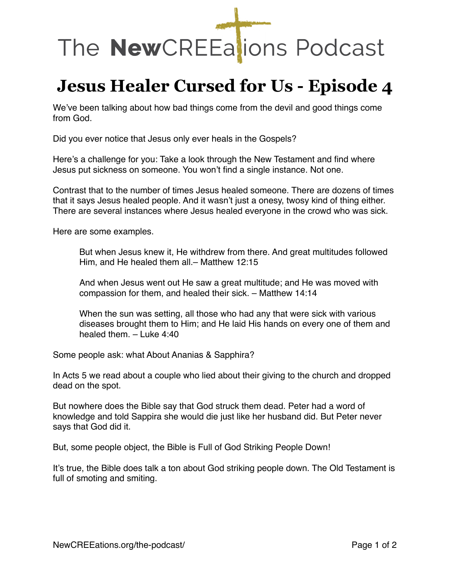## The NewCREEalions Podcast

## **Jesus Healer Cursed for Us - Episode 4**

We've been talking about how bad things come from the devil and good things come from God.

Did you ever notice that Jesus only ever heals in the Gospels?

Here's a challenge for you: Take a look through the New Testament and find where Jesus put sickness on someone. You won't find a single instance. Not one.

Contrast that to the number of times Jesus healed someone. There are dozens of times that it says Jesus healed people. And it wasn't just a onesy, twosy kind of thing either. There are several instances where Jesus healed everyone in the crowd who was sick.

Here are some examples.

But when Jesus knew it, He withdrew from there. And great multitudes followed Him, and He healed them all.– Matthew 12:15

And when Jesus went out He saw a great multitude; and He was moved with compassion for them, and healed their sick. – Matthew 14:14

When the sun was setting, all those who had any that were sick with various diseases brought them to Him; and He laid His hands on every one of them and healed them. – Luke 4:40

Some people ask: what About Ananias & Sapphira?

In Acts 5 we read about a couple who lied about their giving to the church and dropped dead on the spot.

But nowhere does the Bible say that God struck them dead. Peter had a word of knowledge and told Sappira she would die just like her husband did. But Peter never says that God did it.

But, some people object, the Bible is Full of God Striking People Down!

It's true, the Bible does talk a ton about God striking people down. The Old Testament is full of smoting and smiting.